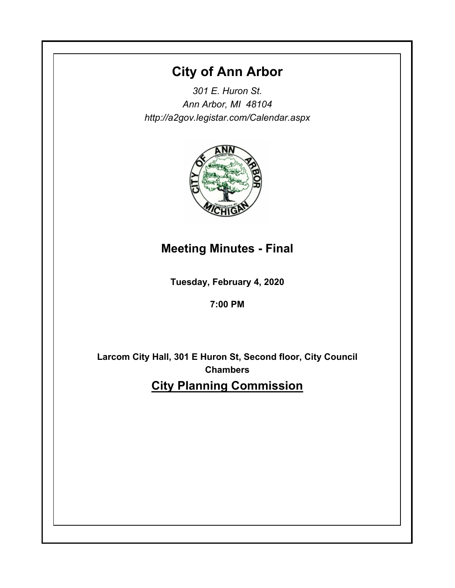# **City of Ann Arbor**

*301 E. Huron St. Ann Arbor, MI 48104 http://a2gov.legistar.com/Calendar.aspx*



# **Meeting Minutes - Final**

**Tuesday, February 4, 2020**

**7:00 PM**

**Larcom City Hall, 301 E Huron St, Second floor, City Council Chambers City Planning Commission**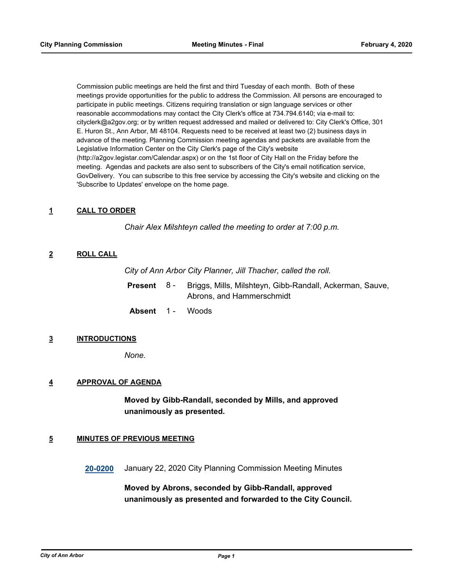Commission public meetings are held the first and third Tuesday of each month. Both of these meetings provide opportunities for the public to address the Commission. All persons are encouraged to participate in public meetings. Citizens requiring translation or sign language services or other reasonable accommodations may contact the City Clerk's office at 734.794.6140; via e-mail to: cityclerk@a2gov.org; or by written request addressed and mailed or delivered to: City Clerk's Office, 301 E. Huron St., Ann Arbor, MI 48104. Requests need to be received at least two (2) business days in advance of the meeting. Planning Commission meeting agendas and packets are available from the Legislative Information Center on the City Clerk's page of the City's website (http://a2gov.legistar.com/Calendar.aspx) or on the 1st floor of City Hall on the Friday before the meeting. Agendas and packets are also sent to subscribers of the City's email notification service, GovDelivery. You can subscribe to this free service by accessing the City's website and clicking on the 'Subscribe to Updates' envelope on the home page.

## **1 CALL TO ORDER**

*Chair Alex Milshteyn called the meeting to order at 7:00 p.m.*

## **2 ROLL CALL**

*City of Ann Arbor City Planner, Jill Thacher, called the roll.*

| <b>Present</b> 8- | Briggs, Mills, Milshteyn, Gibb-Randall, Ackerman, Sauve, |
|-------------------|----------------------------------------------------------|
|                   | Abrons, and Hammerschmidt                                |

**Absent** 1 - Woods

## **3 INTRODUCTIONS**

*None.*

## **4 APPROVAL OF AGENDA**

**Moved by Gibb-Randall, seconded by Mills, and approved unanimously as presented.**

## **5 MINUTES OF PREVIOUS MEETING**

**[20-0200](http://a2gov.legistar.com/gateway.aspx?M=L&ID=24236)** January 22, 2020 City Planning Commission Meeting Minutes

**Moved by Abrons, seconded by Gibb-Randall, approved unanimously as presented and forwarded to the City Council.**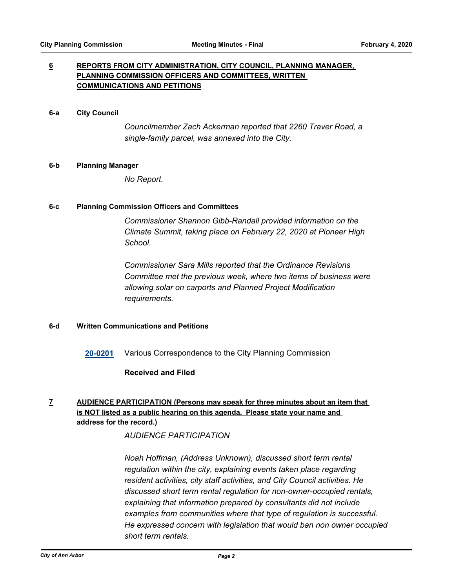## **6 REPORTS FROM CITY ADMINISTRATION, CITY COUNCIL, PLANNING MANAGER, PLANNING COMMISSION OFFICERS AND COMMITTEES, WRITTEN COMMUNICATIONS AND PETITIONS**

#### **6-a City Council**

*Councilmember Zach Ackerman reported that 2260 Traver Road, a single-family parcel, was annexed into the City.*

#### **6-b Planning Manager**

*No Report.*

## **6-c Planning Commission Officers and Committees**

*Commissioner Shannon Gibb-Randall provided information on the Climate Summit, taking place on February 22, 2020 at Pioneer High School.* 

*Commissioner Sara Mills reported that the Ordinance Revisions Committee met the previous week, where two items of business were allowing solar on carports and Planned Project Modification requirements.*

## **6-d Written Communications and Petitions**

**[20-0201](http://a2gov.legistar.com/gateway.aspx?M=L&ID=24237)** Various Correspondence to the City Planning Commission

## **Received and Filed**

## **7 AUDIENCE PARTICIPATION (Persons may speak for three minutes about an item that is NOT listed as a public hearing on this agenda. Please state your name and address for the record.)**

## *AUDIENCE PARTICIPATION*

*Noah Hoffman, (Address Unknown), discussed short term rental regulation within the city, explaining events taken place regarding resident activities, city staff activities, and City Council activities. He discussed short term rental regulation for non-owner-occupied rentals, explaining that information prepared by consultants did not include examples from communities where that type of regulation is successful. He expressed concern with legislation that would ban non owner occupied short term rentals.*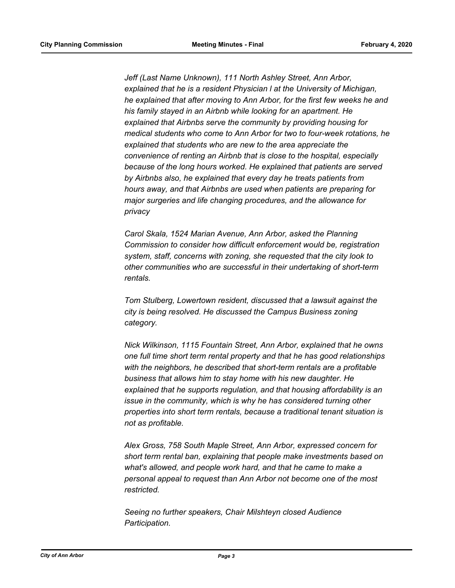*Jeff (Last Name Unknown), 111 North Ashley Street, Ann Arbor, explained that he is a resident Physician l at the University of Michigan, he explained that after moving to Ann Arbor, for the first few weeks he and his family stayed in an Airbnb while looking for an apartment. He explained that Airbnbs serve the community by providing housing for medical students who come to Ann Arbor for two to four-week rotations, he explained that students who are new to the area appreciate the convenience of renting an Airbnb that is close to the hospital, especially because of the long hours worked. He explained that patients are served by Airbnbs also, he explained that every day he treats patients from hours away, and that Airbnbs are used when patients are preparing for major surgeries and life changing procedures, and the allowance for privacy*

*Carol Skala, 1524 Marian Avenue, Ann Arbor, asked the Planning Commission to consider how difficult enforcement would be, registration system, staff, concerns with zoning, she requested that the city look to other communities who are successful in their undertaking of short-term rentals.* 

*Tom Stulberg, Lowertown resident, discussed that a lawsuit against the city is being resolved. He discussed the Campus Business zoning category.* 

*Nick Wilkinson, 1115 Fountain Street, Ann Arbor, explained that he owns one full time short term rental property and that he has good relationships with the neighbors, he described that short-term rentals are a profitable business that allows him to stay home with his new daughter. He explained that he supports regulation, and that housing affordability is an issue in the community, which is why he has considered turning other properties into short term rentals, because a traditional tenant situation is not as profitable.* 

*Alex Gross, 758 South Maple Street, Ann Arbor, expressed concern for short term rental ban, explaining that people make investments based on what's allowed, and people work hard, and that he came to make a personal appeal to request than Ann Arbor not become one of the most restricted.* 

*Seeing no further speakers, Chair Milshteyn closed Audience Participation.*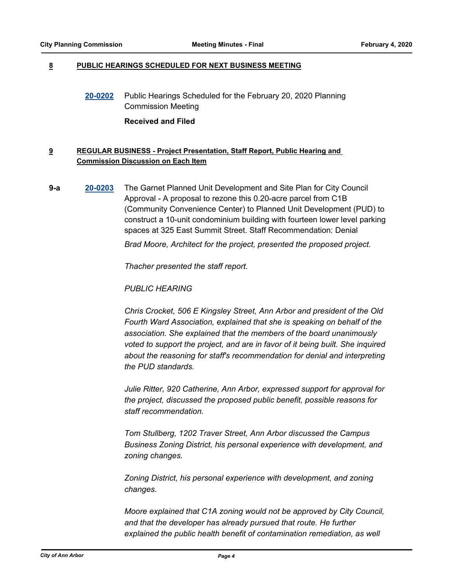## **8 PUBLIC HEARINGS SCHEDULED FOR NEXT BUSINESS MEETING**

**[20-0202](http://a2gov.legistar.com/gateway.aspx?M=L&ID=24238)** Public Hearings Scheduled for the February 20, 2020 Planning Commission Meeting

#### **Received and Filed**

## **9 REGULAR BUSINESS - Project Presentation, Staff Report, Public Hearing and Commission Discussion on Each Item**

**9-a [20-0203](http://a2gov.legistar.com/gateway.aspx?M=L&ID=24239)** The Garnet Planned Unit Development and Site Plan for City Council Approval - A proposal to rezone this 0.20-acre parcel from C1B (Community Convenience Center) to Planned Unit Development (PUD) to construct a 10-unit condominium building with fourteen lower level parking spaces at 325 East Summit Street. Staff Recommendation: Denial

*Brad Moore, Architect for the project, presented the proposed project.* 

*Thacher presented the staff report.* 

*PUBLIC HEARING*

*Chris Crocket, 506 E Kingsley Street, Ann Arbor and president of the Old Fourth Ward Association, explained that she is speaking on behalf of the association. She explained that the members of the board unanimously voted to support the project, and are in favor of it being built. She inquired about the reasoning for staff's recommendation for denial and interpreting the PUD standards.* 

*Julie Ritter, 920 Catherine, Ann Arbor, expressed support for approval for the project, discussed the proposed public benefit, possible reasons for staff recommendation.* 

*Tom Stullberg, 1202 Traver Street, Ann Arbor discussed the Campus Business Zoning District, his personal experience with development, and zoning changes.*

*Zoning District, his personal experience with development, and zoning changes.*

*Moore explained that C1A zoning would not be approved by City Council, and that the developer has already pursued that route. He further explained the public health benefit of contamination remediation, as well*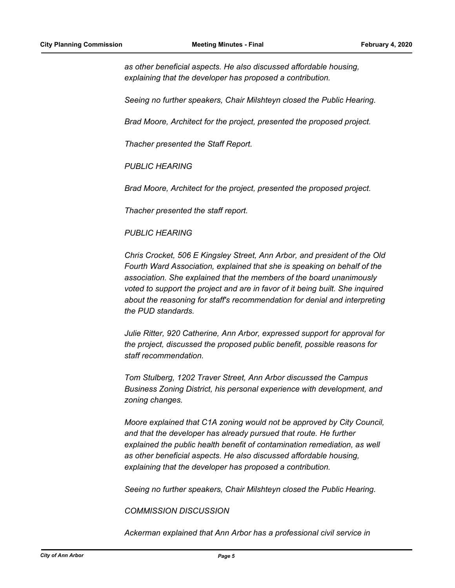*as other beneficial aspects. He also discussed affordable housing, explaining that the developer has proposed a contribution.* 

*Seeing no further speakers, Chair Milshteyn closed the Public Hearing.*

*Brad Moore, Architect for the project, presented the proposed project.* 

*Thacher presented the Staff Report.*

*PUBLIC HEARING*

*Brad Moore, Architect for the project, presented the proposed project.* 

*Thacher presented the staff report.* 

## *PUBLIC HEARING*

*Chris Crocket, 506 E Kingsley Street, Ann Arbor, and president of the Old Fourth Ward Association, explained that she is speaking on behalf of the association. She explained that the members of the board unanimously voted to support the project and are in favor of it being built. She inquired about the reasoning for staff's recommendation for denial and interpreting the PUD standards.* 

*Julie Ritter, 920 Catherine, Ann Arbor, expressed support for approval for the project, discussed the proposed public benefit, possible reasons for staff recommendation.* 

*Tom Stulberg, 1202 Traver Street, Ann Arbor discussed the Campus Business Zoning District, his personal experience with development, and zoning changes.*

*Moore explained that C1A zoning would not be approved by City Council, and that the developer has already pursued that route. He further explained the public health benefit of contamination remediation, as well as other beneficial aspects. He also discussed affordable housing, explaining that the developer has proposed a contribution.* 

*Seeing no further speakers, Chair Milshteyn closed the Public Hearing.*

*COMMISSION DISCUSSION*

*Ackerman explained that Ann Arbor has a professional civil service in*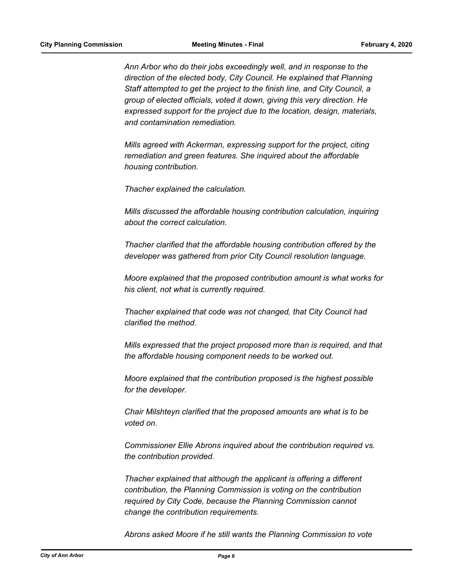*Ann Arbor who do their jobs exceedingly well, and in response to the direction of the elected body, City Council. He explained that Planning Staff attempted to get the project to the finish line, and City Council, a group of elected officials, voted it down, giving this very direction. He expressed support for the project due to the location, design, materials, and contamination remediation.* 

*Mills agreed with Ackerman, expressing support for the project, citing remediation and green features. She inquired about the affordable housing contribution.* 

*Thacher explained the calculation.* 

*Mills discussed the affordable housing contribution calculation, inquiring about the correct calculation.* 

*Thacher clarified that the affordable housing contribution offered by the developer was gathered from prior City Council resolution language.*

*Moore explained that the proposed contribution amount is what works for his client, not what is currently required.* 

*Thacher explained that code was not changed, that City Council had clarified the method.* 

*Mills expressed that the project proposed more than is required, and that the affordable housing component needs to be worked out.* 

*Moore explained that the contribution proposed is the highest possible for the developer.* 

*Chair Milshteyn clarified that the proposed amounts are what is to be voted on.* 

*Commissioner Ellie Abrons inquired about the contribution required vs. the contribution provided.* 

*Thacher explained that although the applicant is offering a different contribution, the Planning Commission is voting on the contribution required by City Code, because the Planning Commission cannot change the contribution requirements.* 

*Abrons asked Moore if he still wants the Planning Commission to vote*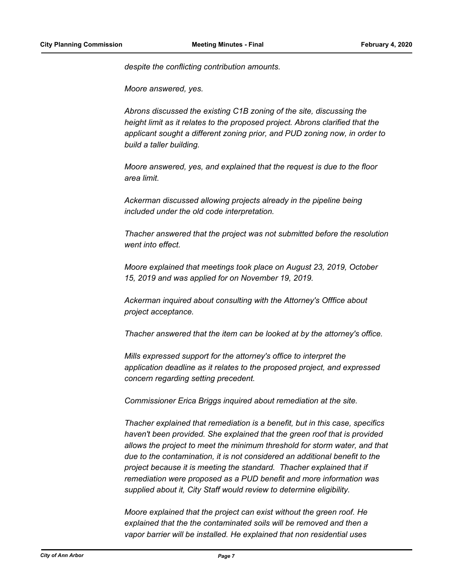*despite the conflicting contribution amounts.* 

*Moore answered, yes.* 

*Abrons discussed the existing C1B zoning of the site, discussing the height limit as it relates to the proposed project. Abrons clarified that the applicant sought a different zoning prior, and PUD zoning now, in order to build a taller building.* 

*Moore answered, yes, and explained that the request is due to the floor area limit.* 

*Ackerman discussed allowing projects already in the pipeline being included under the old code interpretation.* 

*Thacher answered that the project was not submitted before the resolution went into effect.* 

*Moore explained that meetings took place on August 23, 2019, October 15, 2019 and was applied for on November 19, 2019.* 

*Ackerman inquired about consulting with the Attorney's Offfice about project acceptance.* 

*Thacher answered that the item can be looked at by the attorney's office.* 

*Mills expressed support for the attorney's office to interpret the application deadline as it relates to the proposed project, and expressed concern regarding setting precedent.* 

*Commissioner Erica Briggs inquired about remediation at the site.* 

*Thacher explained that remediation is a benefit, but in this case, specifics haven't been provided. She explained that the green roof that is provided allows the project to meet the minimum threshold for storm water, and that due to the contamination, it is not considered an additional benefit to the project because it is meeting the standard. Thacher explained that if remediation were proposed as a PUD benefit and more information was supplied about it, City Staff would review to determine eligibility.* 

*Moore explained that the project can exist without the green roof. He explained that the the contaminated soils will be removed and then a vapor barrier will be installed. He explained that non residential uses*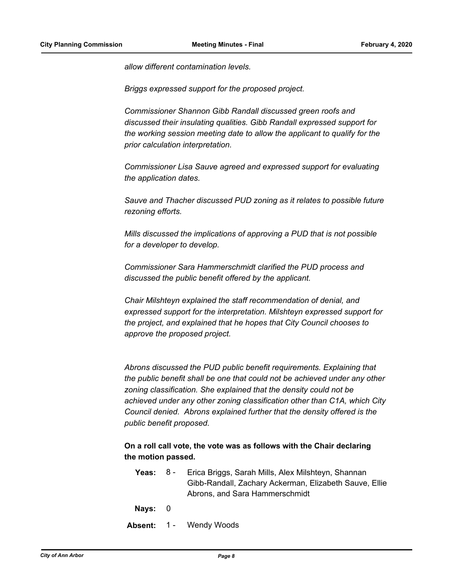*allow different contamination levels.* 

*Briggs expressed support for the proposed project.* 

*Commissioner Shannon Gibb Randall discussed green roofs and discussed their insulating qualities. Gibb Randall expressed support for the working session meeting date to allow the applicant to qualify for the prior calculation interpretation.* 

*Commissioner Lisa Sauve agreed and expressed support for evaluating the application dates.* 

*Sauve and Thacher discussed PUD zoning as it relates to possible future rezoning efforts.* 

*Mills discussed the implications of approving a PUD that is not possible for a developer to develop.* 

*Commissioner Sara Hammerschmidt clarified the PUD process and discussed the public benefit offered by the applicant.* 

*Chair Milshteyn explained the staff recommendation of denial, and expressed support for the interpretation. Milshteyn expressed support for the project, and explained that he hopes that City Council chooses to approve the proposed project.* 

*Abrons discussed the PUD public benefit requirements. Explaining that the public benefit shall be one that could not be achieved under any other zoning classification. She explained that the density could not be achieved under any other zoning classification other than C1A, which City Council denied. Abrons explained further that the density offered is the public benefit proposed.*

**On a roll call vote, the vote was as follows with the Chair declaring the motion passed.**

- **Yeas:** Erica Briggs, Sarah Mills, Alex Milshteyn, Shannan Gibb-Randall, Zachary Ackerman, Elizabeth Sauve, Ellie Abrons, and Sara Hammerschmidt Yeas:  $8 -$
- **Nays:** 0
- **Absent:** 1 Wendy Woods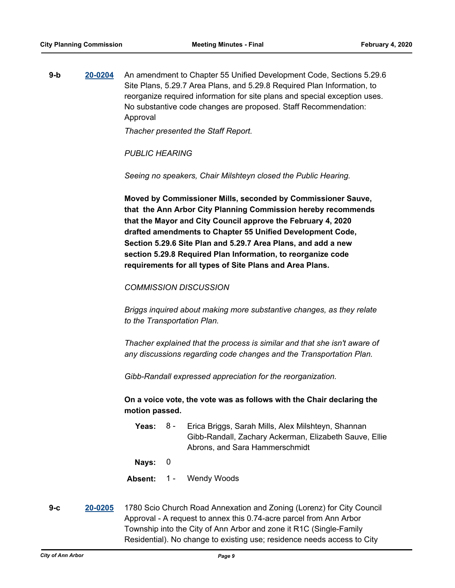**9-b [20-0204](http://a2gov.legistar.com/gateway.aspx?M=L&ID=24240)** An amendment to Chapter 55 Unified Development Code, Sections 5.29.6 Site Plans, 5.29.7 Area Plans, and 5.29.8 Required Plan Information, to reorganize required information for site plans and special exception uses. No substantive code changes are proposed. Staff Recommendation: Approval

*Thacher presented the Staff Report.* 

*PUBLIC HEARING*

*Seeing no speakers, Chair Milshteyn closed the Public Hearing.*

**Moved by Commissioner Mills, seconded by Commissioner Sauve, that the Ann Arbor City Planning Commission hereby recommends that the Mayor and City Council approve the February 4, 2020 drafted amendments to Chapter 55 Unified Development Code, Section 5.29.6 Site Plan and 5.29.7 Area Plans, and add a new section 5.29.8 Required Plan Information, to reorganize code requirements for all types of Site Plans and Area Plans.**

## *COMMISSION DISCUSSION*

*Briggs inquired about making more substantive changes, as they relate to the Transportation Plan.* 

*Thacher explained that the process is similar and that she isn't aware of any discussions regarding code changes and the Transportation Plan.* 

*Gibb-Randall expressed appreciation for the reorganization.*

**On a voice vote, the vote was as follows with the Chair declaring the motion passed.**

- **Yeas:** Erica Briggs, Sarah Mills, Alex Milshteyn, Shannan Gibb-Randall, Zachary Ackerman, Elizabeth Sauve, Ellie Abrons, and Sara Hammerschmidt Yeas:  $8 -$
- **Nays:** 0

**Absent:** 1 - Wendy Woods

**9-c [20-0205](http://a2gov.legistar.com/gateway.aspx?M=L&ID=24241)** 1780 Scio Church Road Annexation and Zoning (Lorenz) for City Council Approval - A request to annex this 0.74-acre parcel from Ann Arbor Township into the City of Ann Arbor and zone it R1C (Single-Family Residential). No change to existing use; residence needs access to City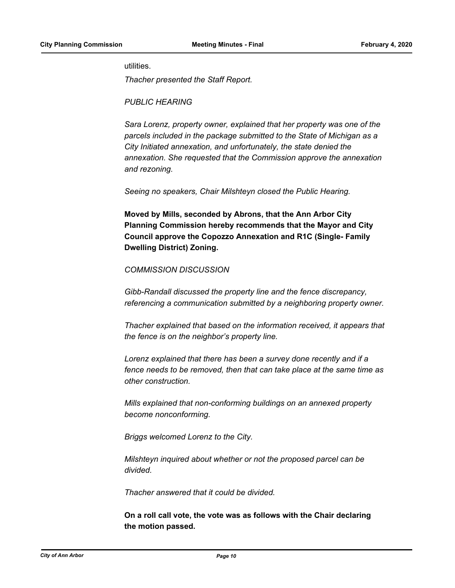#### utilities.

*Thacher presented the Staff Report.* 

*PUBLIC HEARING*

*Sara Lorenz, property owner, explained that her property was one of the parcels included in the package submitted to the State of Michigan as a City Initiated annexation, and unfortunately, the state denied the annexation. She requested that the Commission approve the annexation and rezoning.* 

*Seeing no speakers, Chair Milshteyn closed the Public Hearing.*

**Moved by Mills, seconded by Abrons, that the Ann Arbor City Planning Commission hereby recommends that the Mayor and City Council approve the Copozzo Annexation and R1C (Single- Family Dwelling District) Zoning.**

## *COMMISSION DISCUSSION*

*Gibb-Randall discussed the property line and the fence discrepancy, referencing a communication submitted by a neighboring property owner.* 

*Thacher explained that based on the information received, it appears that the fence is on the neighbor's property line.*

*Lorenz explained that there has been a survey done recently and if a fence needs to be removed, then that can take place at the same time as other construction.* 

*Mills explained that non-conforming buildings on an annexed property become nonconforming.* 

*Briggs welcomed Lorenz to the City.* 

*Milshteyn inquired about whether or not the proposed parcel can be divided.* 

*Thacher answered that it could be divided.*

**On a roll call vote, the vote was as follows with the Chair declaring the motion passed.**